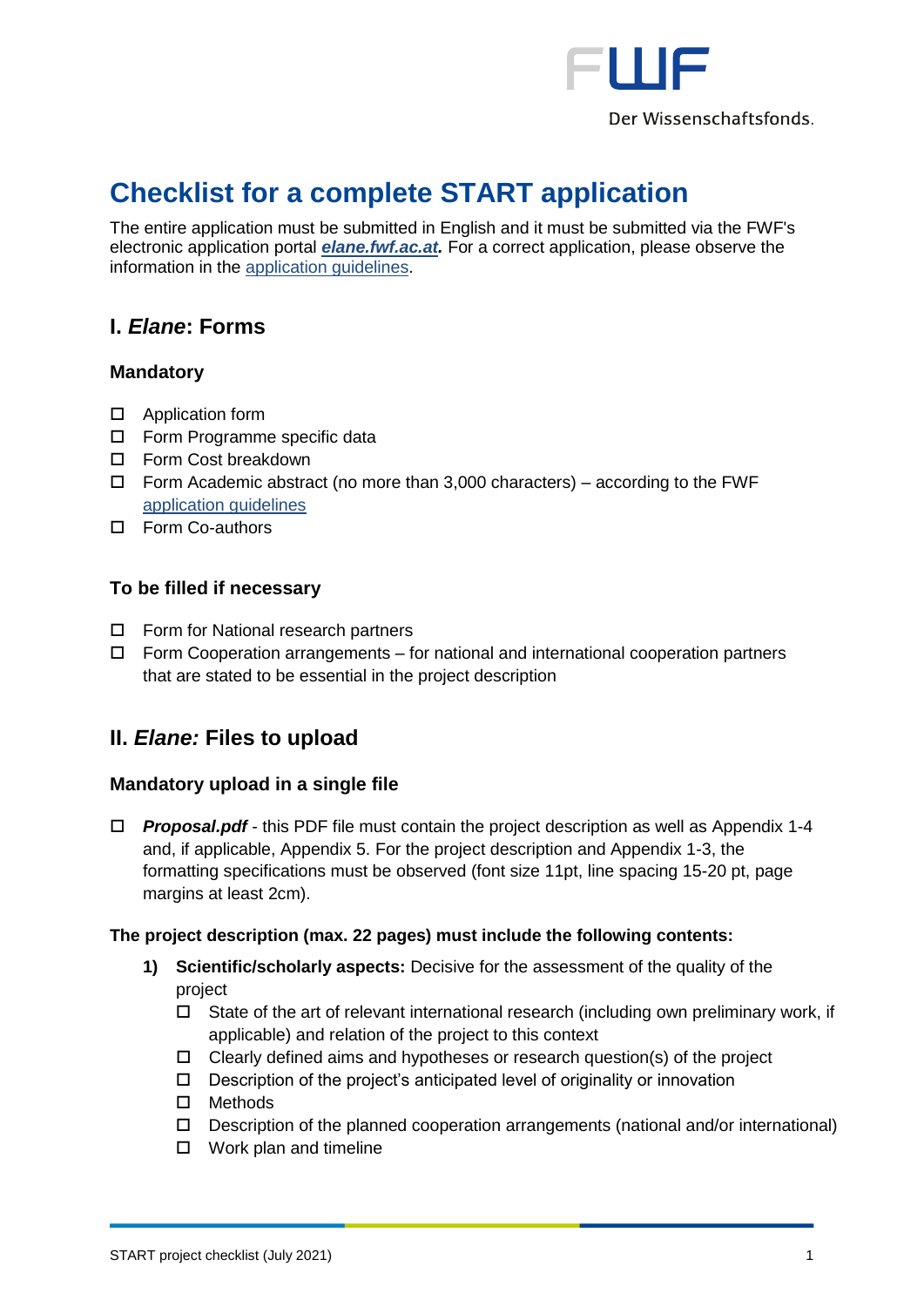

# **Checklist for a complete START application**

The entire application must be submitted in English and it must be submitted via the FWF's electronic application portal *[elane.fwf.ac.at.](https://elane.fwf.ac.at/)* For a correct application, please observe the information in the [application guidelines.](https://www.fwf.ac.at/fileadmin/files/Dokumente/Antragstellung/START-Programm/y_application-guidelines.pdf)

# **I.** *Elane***: Forms**

## **Mandatory**

- □ Application form
- □ Form Programme specific data
- □ Form Cost breakdown
- $\Box$  Form Academic abstract (no more than 3,000 characters) according to the FWF [application guidelines](https://www.fwf.ac.at/fileadmin/files/Dokumente/Antragstellung/START-Programm/y_application-guidelines.pdf)
- □ Form Co-authors

## **To be filled if necessary**

- □ Form for National research partners
- $\Box$  Form Cooperation arrangements for national and international cooperation partners that are stated to be essential in the project description

# **II.** *Elane:* **Files to upload**

## **Mandatory upload in a single file**

 *Proposal.pdf* - this PDF file must contain the project description as well as Appendix 1-4 and, if applicable, Appendix 5. For the project description and Appendix 1-3, the formatting specifications must be observed (font size 11pt, line spacing 15-20 pt, page margins at least 2cm).

#### **The project description (max. 22 pages) must include the following contents:**

- **1) Scientific/scholarly aspects:** Decisive for the assessment of the quality of the project
	- $\Box$  State of the art of relevant international research (including own preliminary work, if applicable) and relation of the project to this context
	- $\Box$  Clearly defined aims and hypotheses or research question(s) of the project
	- $\square$  Description of the project's anticipated level of originality or innovation
	- □ Methods
	- $\Box$  Description of the planned cooperation arrangements (national and/or international)
	- $\Box$  Work plan and timeline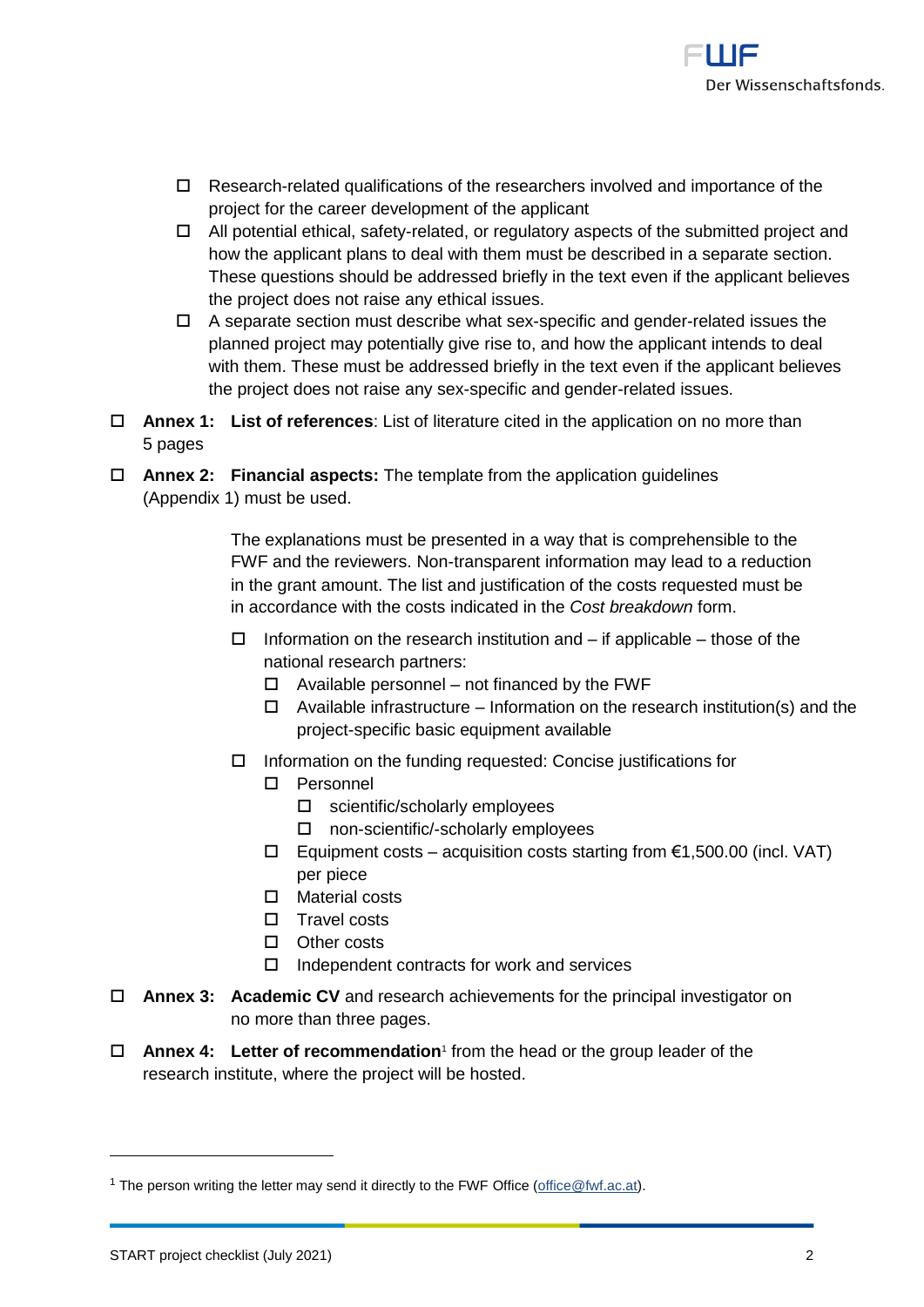

- $\Box$  Research-related qualifications of the researchers involved and importance of the project for the career development of the applicant
- $\Box$  All potential ethical, safety-related, or regulatory aspects of the submitted project and how the applicant plans to deal with them must be described in a separate section. These questions should be addressed briefly in the text even if the applicant believes the project does not raise any ethical issues.
- $\Box$  A separate section must describe what sex-specific and gender-related issues the planned project may potentially give rise to, and how the applicant intends to deal with them. These must be addressed briefly in the text even if the applicant believes the project does not raise any sex-specific and gender-related issues.
- **Annex 1: List of references**: List of literature cited in the application on no more than 5 pages
- **Annex 2: Financial aspects:** The template from the application guidelines (Appendix 1) must be used.

The explanations must be presented in a way that is comprehensible to the FWF and the reviewers. Non-transparent information may lead to a reduction in the grant amount. The list and justification of the costs requested must be in accordance with the costs indicated in the *Cost breakdown* form.

- $\Box$  Information on the research institution and if applicable those of the national research partners:
	- $\Box$  Available personnel not financed by the FWF
	- $\Box$  Available infrastructure Information on the research institution(s) and the project-specific basic equipment available
- $\Box$  Information on the funding requested: Concise justifications for
	- Personnel
		- □ scientific/scholarly employees
		- □ non-scientific/-scholarly employees
	- $□$  Equipment costs acquisition costs starting from €1,500.00 (incl. VAT) per piece
	- □ Material costs
	- $\Box$  Travel costs
	- □ Other costs
	- $\Box$  Independent contracts for work and services
- **Annex 3: Academic CV** and research achievements for the principal investigator on no more than three pages.
- **Annex 4: Letter of recommendation**<sup>1</sup> from the head or the group leader of the research institute, where the project will be hosted.

1

<sup>&</sup>lt;sup>1</sup> The person writing the letter may send it directly to the FWF Office (office @fwf.ac.at).